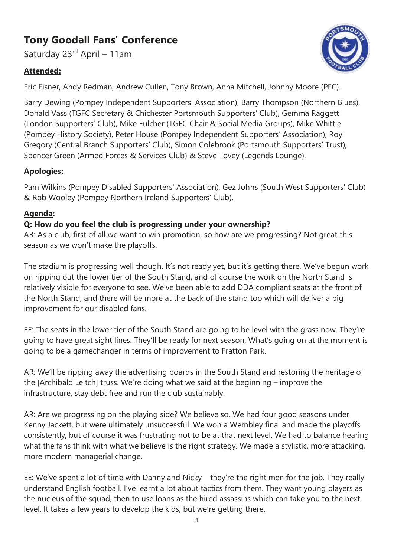# **Tony Goodall Fans' Conference**

Saturday 23rd April - 11am

# **Attended:**



Eric Eisner, Andy Redman, Andrew Cullen, Tony Brown, Anna Mitchell, Johnny Moore (PFC).

Barry Dewing (Pompey Independent Supporters' Association), Barry Thompson (Northern Blues), Donald Vass (TGFC Secretary & Chichester Portsmouth Supporters' Club), Gemma Raggett (London Supporters' Club), Mike Fulcher (TGFC Chair & Social Media Groups), Mike Whittle (Pompey History Society), Peter House (Pompey Independent Supporters' Association), Roy Gregory (Central Branch Supporters' Club), Simon Colebrook (Portsmouth Supporters' Trust), Spencer Green (Armed Forces & Services Club) & Steve Tovey (Legends Lounge).

## **Apologies:**

Pam Wilkins (Pompey Disabled Supporters' Association), Gez Johns (South West Supporters' Club) & Rob Wooley (Pompey Northern Ireland Supporters' Club).

# **Agenda:**

## **Q: How do you feel the club is progressing under your ownership?**

AR: As a club, first of all we want to win promotion, so how are we progressing? Not great this season as we won't make the playoffs.

The stadium is progressing well though. It's not ready yet, but it's getting there. We've begun work on ripping out the lower tier of the South Stand, and of course the work on the North Stand is relatively visible for everyone to see. We've been able to add DDA compliant seats at the front of the North Stand, and there will be more at the back of the stand too which will deliver a big improvement for our disabled fans.

EE: The seats in the lower tier of the South Stand are going to be level with the grass now. They're going to have great sight lines. They'll be ready for next season. What's going on at the moment is going to be a gamechanger in terms of improvement to Fratton Park.

AR: We'll be ripping away the advertising boards in the South Stand and restoring the heritage of the [Archibald Leitch] truss. We're doing what we said at the beginning – improve the infrastructure, stay debt free and run the club sustainably.

AR: Are we progressing on the playing side? We believe so. We had four good seasons under Kenny Jackett, but were ultimately unsuccessful. We won a Wembley final and made the playoffs consistently, but of course it was frustrating not to be at that next level. We had to balance hearing what the fans think with what we believe is the right strategy. We made a stylistic, more attacking, more modern managerial change.

EE: We've spent a lot of time with Danny and Nicky – they're the right men for the job. They really understand English football. I've learnt a lot about tactics from them. They want young players as the nucleus of the squad, then to use loans as the hired assassins which can take you to the next level. It takes a few years to develop the kids, but we're getting there.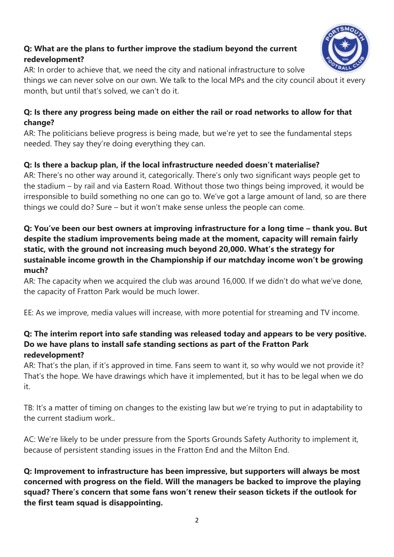# **Q: What are the plans to further improve the stadium beyond the current redevelopment?**



AR: In order to achieve that, we need the city and national infrastructure to solve

things we can never solve on our own. We talk to the local MPs and the city council about it every month, but until that's solved, we can't do it.

#### **Q: Is there any progress being made on either the rail or road networks to allow for that change?**

AR: The politicians believe progress is being made, but we're yet to see the fundamental steps needed. They say they're doing everything they can.

## **Q: Is there a backup plan, if the local infrastructure needed doesn't materialise?**

AR: There's no other way around it, categorically. There's only two significant ways people get to the stadium – by rail and via Eastern Road. Without those two things being improved, it would be irresponsible to build something no one can go to. We've got a large amount of land, so are there things we could do? Sure – but it won't make sense unless the people can come.

## **Q: You've been our best owners at improving infrastructure for a long time – thank you. But despite the stadium improvements being made at the moment, capacity will remain fairly static, with the ground not increasing much beyond 20,000. What's the strategy for sustainable income growth in the Championship if our matchday income won't be growing much?**

AR: The capacity when we acquired the club was around 16,000. If we didn't do what we've done, the capacity of Fratton Park would be much lower.

EE: As we improve, media values will increase, with more potential for streaming and TV income.

#### **Q: The interim report into safe standing was released today and appears to be very positive. Do we have plans to install safe standing sections as part of the Fratton Park redevelopment?**

AR: That's the plan, if it's approved in time. Fans seem to want it, so why would we not provide it? That's the hope. We have drawings which have it implemented, but it has to be legal when we do it.

TB: It's a matter of timing on changes to the existing law but we're trying to put in adaptability to the current stadium work..

AC: We're likely to be under pressure from the Sports Grounds Safety Authority to implement it, because of persistent standing issues in the Fratton End and the Milton End.

**Q: Improvement to infrastructure has been impressive, but supporters will always be most concerned with progress on the field. Will the managers be backed to improve the playing squad? There's concern that some fans won't renew their season tickets if the outlook for the first team squad is disappointing.**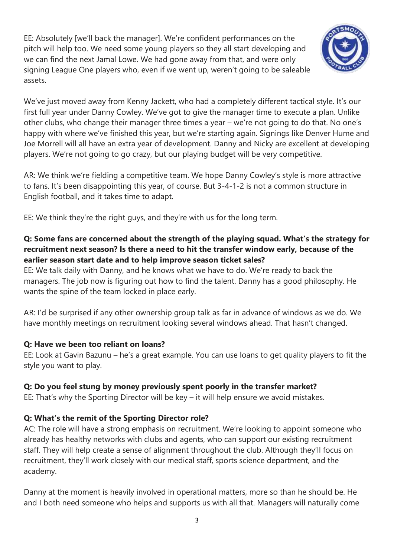EE: Absolutely [we'll back the manager]. We're confident performances on the pitch will help too. We need some young players so they all start developing and we can find the next Jamal Lowe. We had gone away from that, and were only signing League One players who, even if we went up, weren't going to be saleable assets.



We've just moved away from Kenny Jackett, who had a completely different tactical style. It's our first full year under Danny Cowley. We've got to give the manager time to execute a plan. Unlike other clubs, who change their manager three times a year – we're not going to do that. No one's happy with where we've finished this year, but we're starting again. Signings like Denver Hume and Joe Morrell will all have an extra year of development. Danny and Nicky are excellent at developing players. We're not going to go crazy, but our playing budget will be very competitive.

AR: We think we're fielding a competitive team. We hope Danny Cowley's style is more attractive to fans. It's been disappointing this year, of course. But 3-4-1-2 is not a common structure in English football, and it takes time to adapt.

EE: We think they're the right guys, and they're with us for the long term.

# **Q: Some fans are concerned about the strength of the playing squad. What's the strategy for recruitment next season? Is there a need to hit the transfer window early, because of the earlier season start date and to help improve season ticket sales?**

EE: We talk daily with Danny, and he knows what we have to do. We're ready to back the managers. The job now is figuring out how to find the talent. Danny has a good philosophy. He wants the spine of the team locked in place early.

AR: I'd be surprised if any other ownership group talk as far in advance of windows as we do. We have monthly meetings on recruitment looking several windows ahead. That hasn't changed.

# **Q: Have we been too reliant on loans?**

EE: Look at Gavin Bazunu – he's a great example. You can use loans to get quality players to fit the style you want to play.

# **Q: Do you feel stung by money previously spent poorly in the transfer market?**

EE: That's why the Sporting Director will be key – it will help ensure we avoid mistakes.

# **Q: What's the remit of the Sporting Director role?**

AC: The role will have a strong emphasis on recruitment. We're looking to appoint someone who already has healthy networks with clubs and agents, who can support our existing recruitment staff. They will help create a sense of alignment throughout the club. Although they'll focus on recruitment, they'll work closely with our medical staff, sports science department, and the academy.

Danny at the moment is heavily involved in operational matters, more so than he should be. He and I both need someone who helps and supports us with all that. Managers will naturally come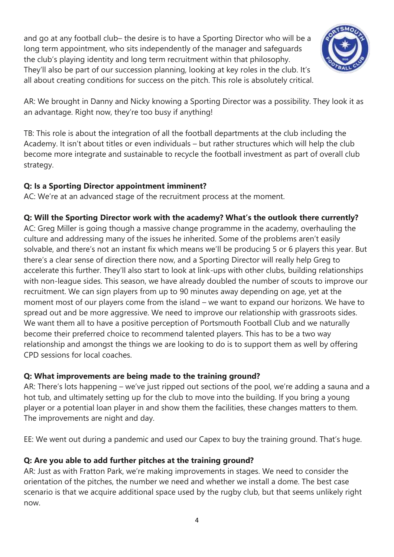and go at any football club– the desire is to have a Sporting Director who will be a long term appointment, who sits independently of the manager and safeguards the club's playing identity and long term recruitment within that philosophy. They'll also be part of our succession planning, looking at key roles in the club. It's all about creating conditions for success on the pitch. This role is absolutely critical.



AR: We brought in Danny and Nicky knowing a Sporting Director was a possibility. They look it as an advantage. Right now, they're too busy if anything!

TB: This role is about the integration of all the football departments at the club including the Academy. It isn't about titles or even individuals – but rather structures which will help the club become more integrate and sustainable to recycle the football investment as part of overall club strategy.

#### **Q: Is a Sporting Director appointment imminent?**

AC: We're at an advanced stage of the recruitment process at the moment.

## **Q: Will the Sporting Director work with the academy? What's the outlook there currently?**

AC: Greg Miller is going though a massive change programme in the academy, overhauling the culture and addressing many of the issues he inherited. Some of the problems aren't easily solvable, and there's not an instant fix which means we'll be producing 5 or 6 players this year. But there's a clear sense of direction there now, and a Sporting Director will really help Greg to accelerate this further. They'll also start to look at link-ups with other clubs, building relationships with non-league sides. This season, we have already doubled the number of scouts to improve our recruitment. We can sign players from up to 90 minutes away depending on age, yet at the moment most of our players come from the island – we want to expand our horizons. We have to spread out and be more aggressive. We need to improve our relationship with grassroots sides. We want them all to have a positive perception of Portsmouth Football Club and we naturally become their preferred choice to recommend talented players. This has to be a two way relationship and amongst the things we are looking to do is to support them as well by offering CPD sessions for local coaches.

#### **Q: What improvements are being made to the training ground?**

AR: There's lots happening – we've just ripped out sections of the pool, we're adding a sauna and a hot tub, and ultimately setting up for the club to move into the building. If you bring a young player or a potential loan player in and show them the facilities, these changes matters to them. The improvements are night and day.

EE: We went out during a pandemic and used our Capex to buy the training ground. That's huge.

#### **Q: Are you able to add further pitches at the training ground?**

AR: Just as with Fratton Park, we're making improvements in stages. We need to consider the orientation of the pitches, the number we need and whether we install a dome. The best case scenario is that we acquire additional space used by the rugby club, but that seems unlikely right now.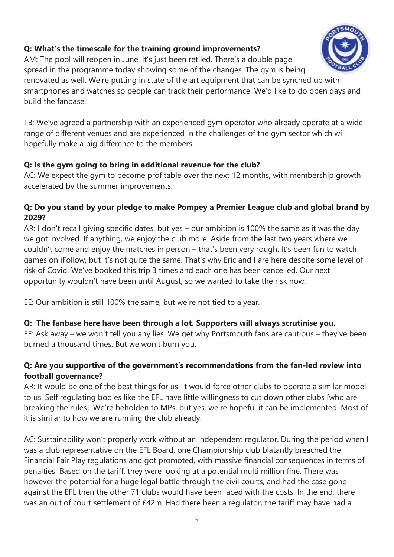# **Q: What's the timescale for the training ground improvements?**

AM: The pool will reopen in June. It's just been retiled. There's a double page spread in the programme today showing some of the changes. The gym is being

renovated as well. We're putting in state of the art equipment that can be synched up with smartphones and watches so people can track their performance. We'd like to do open days and build the fanbase.

TB: We've agreed a partnership with an experienced gym operator who already operate at a wide range of different venues and are experienced in the challenges of the gym sector which will hopefully make a big difference to the members.

## **Q: Is the gym going to bring in additional revenue for the club?**

AC: We expect the gym to become profitable over the next 12 months, with membership growth accelerated by the summer improvements.

## **Q: Do you stand by your pledge to make Pompey a Premier League club and global brand by 2029?**

AR: I don't recall giving specific dates, but yes – our ambition is 100% the same as it was the day we got involved. If anything, we enjoy the club more. Aside from the last two years where we couldn't come and enjoy the matches in person – that's been very rough. It's been fun to watch games on iFollow, but it's not quite the same. That's why Eric and I are here despite some level of risk of Covid. We've booked this trip 3 times and each one has been cancelled. Our next opportunity wouldn't have been until August, so we wanted to take the risk now.

EE: Our ambition is still 100% the same, but we're not tied to a year.

#### **Q: The fanbase here have been through a lot. Supporters will always scrutinise you.**

EE: Ask away – we won't tell you any lies. We get why Portsmouth fans are cautious – they've been burned a thousand times. But we won't burn you.

# **Q: Are you supportive of the government's recommendations from the fan-led review into football governance?**

AR: It would be one of the best things for us. It would force other clubs to operate a similar model to us. Self regulating bodies like the EFL have little willingness to cut down other clubs [who are breaking the rules]. We're beholden to MPs, but yes, we're hopeful it can be implemented. Most of it is similar to how we are running the club already.

AC: Sustainability won't properly work without an independent regulator. During the period when I was a club representative on the EFL Board, one Championship club blatantly breached the Financial Fair Play regulations and got promoted, with massive financial consequences in terms of penalties Based on the tariff, they were looking at a potential multi million fine. There was however the potential for a huge legal battle through the civil courts, and had the case gone against the EFL then the other 71 clubs would have been faced with the costs. In the end, there was an out of court settlement of £42m. Had there been a regulator, the tariff may have had a

5

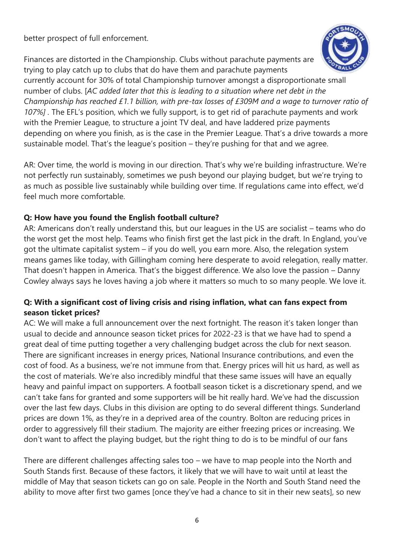better prospect of full enforcement.

Finances are distorted in the Championship. Clubs without parachute payments are trying to play catch up to clubs that do have them and parachute payments



currently account for 30% of total Championship turnover amongst a disproportionate small number of clubs. [*AC added later that this is leading to a situation where net debt in the Championship has reached £1.1 billion, with pre-tax losses of £309M and a wage to turnover ratio of 107%] .* The EFL's position, which we fully support, is to get rid of parachute payments and work with the Premier League, to structure a joint TV deal, and have laddered prize payments depending on where you finish, as is the case in the Premier League. That's a drive towards a more sustainable model. That's the league's position – they're pushing for that and we agree.

AR: Over time, the world is moving in our direction. That's why we're building infrastructure. We're not perfectly run sustainably, sometimes we push beyond our playing budget, but we're trying to as much as possible live sustainably while building over time. If regulations came into effect, we'd feel much more comfortable.

#### **Q: How have you found the English football culture?**

AR: Americans don't really understand this, but our leagues in the US are socialist – teams who do the worst get the most help. Teams who finish first get the last pick in the draft. In England, you've got the ultimate capitalist system – if you do well, you earn more. Also, the relegation system means games like today, with Gillingham coming here desperate to avoid relegation, really matter. That doesn't happen in America. That's the biggest difference. We also love the passion – Danny Cowley always says he loves having a job where it matters so much to so many people. We love it.

## **Q: With a significant cost of living crisis and rising inflation, what can fans expect from season ticket prices?**

AC: We will make a full announcement over the next fortnight. The reason it's taken longer than usual to decide and announce season ticket prices for 2022-23 is that we have had to spend a great deal of time putting together a very challenging budget across the club for next season. There are significant increases in energy prices, National Insurance contributions, and even the cost of food. As a business, we're not immune from that. Energy prices will hit us hard, as well as the cost of materials. We're also incredibly mindful that these same issues will have an equally heavy and painful impact on supporters. A football season ticket is a discretionary spend, and we can't take fans for granted and some supporters will be hit really hard. We've had the discussion over the last few days. Clubs in this division are opting to do several different things. Sunderland prices are down 1%, as they're in a deprived area of the country. Bolton are reducing prices in order to aggressively fill their stadium. The majority are either freezing prices or increasing. We don't want to affect the playing budget, but the right thing to do is to be mindful of our fans

There are different challenges affecting sales too – we have to map people into the North and South Stands first. Because of these factors, it likely that we will have to wait until at least the middle of May that season tickets can go on sale. People in the North and South Stand need the ability to move after first two games [once they've had a chance to sit in their new seats], so new